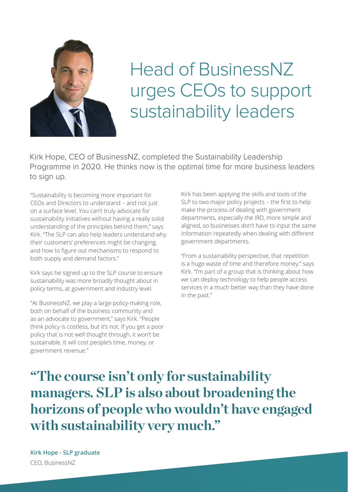

## Head of BusinessNZ urges CEOs to support sustainability leaders

Kirk Hope, CEO of BusinessNZ, completed the Sustainability Leadership Programme in 2020. He thinks now is the optimal time for more business leaders to sign up.

"Sustainability is becoming more important for CEOs and Directors to understand – and not just on a surface level. You can't truly advocate for sustainability initiatives without having a really solid understanding of the principles behind them," says Kirk. "The SLP can also help leaders understand why their customers' preferences might be changing, and how to figure out mechanisms to respond to both supply and demand factors."

Kirk says he signed up to the SLP course to ensure sustainability was more broadly thought about in policy terms, at government and industry level.

"At BusinessNZ, we play a large policy-making role, both on behalf of the business community and as an advocate to government," says Kirk. "People think policy is costless, but it's not. If you get a poor policy that is not well thought through, it won't be sustainable. It will cost people's time, money, or government revenue."

Kirk has been applying the skills and tools of the SLP to two major policy projects – the first to help make the process of dealing with government departments, especially the IRD, more simple and aligned, so businesses don't have to input the same information repeatedly when dealing with different government departments.

"From a sustainability perspective, that repetition is a huge waste of time and therefore money," says Kirk. "I'm part of a group that is thinking about how we can deploy technology to help people access services in a much better way than they have done in the past."

**"The course isn't only for sustainability managers. SLP is also about broadening the horizons of people who wouldn't have engaged with sustainability very much."**